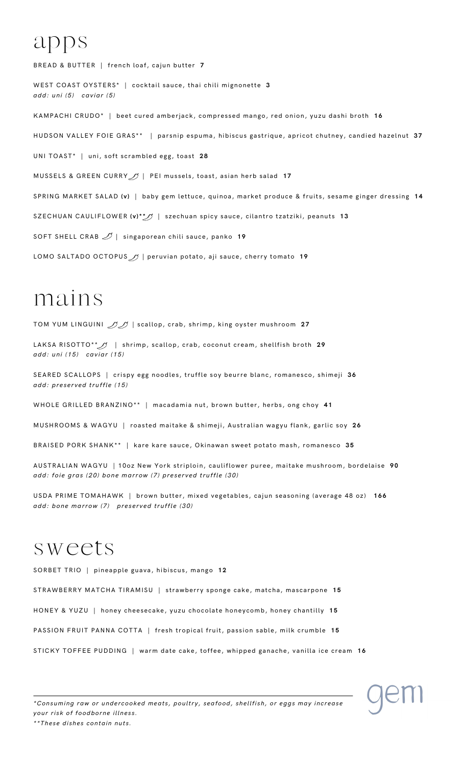## apps

BREAD & BUTTER | french loaf, cajun butter **7**

WEST COAST OYSTERS\* | cocktail sauce, thai chili mignonette **3** *add: uni (5) caviar (5)* KAMPACHI CRUDO\* | beet cured amberjack, compres sed mango, red onion, yuzu dashi broth **16** HUDSON VALLEY FOIE GRAS<sup>\*</sup>\* | parsnip espuma, hibiscus gastrique, apricot chutney, candied hazelnut 37 UNI TOAST<sup>\*</sup> | uni, soft scrambled egg, toast 28 MUSSELS & GREEN CURRY  $\mathcal{I}$  | PEI mussels, toast, asian herb salad 17 SPRING MARKET SALAD (v) | baby gem lettuce, quinoa, market produce & fruits, sesame ginger dressing 14 SZECHUAN CAULIFLOWER **(v) \* \*** | szechuan spicy sauce, cilantro tzatziki, peanut s **13** SOFT SHELL CRAB  $\mathcal{I}$  | singaporean chili sauce, panko 19 LOMO SALTADO OCTOPUS  $\mathcal{I}$  | peruvian potato, aji sauce, cherry tomato 19

# mains

TOM YUM LINGUINI | scallop, crab, shrimp, king oys ter mushroom **27**

LAKSA RISOTTO\*\*  $\frac{1}{2}$  | shrimp, scallop, crab, coconut cream, shellfish broth 29 *add: uni (15) caviar (15)*

SEARED SCALLOPS | crispy egg noodles, truffle soy beurre blanc, romanesco, shimeji 36 *add: preserved truffle (15)*

WHOLE GRILLED BRANZINO<sup>\*</sup>\* | macadamia nut, brown butter, herbs, ong choy 41

MUSHROOMS & WAGYU | roas ted maitake & shimeji, Aus tralian wagyu flank, garlic soy **26**

BRAISED PORK SHANK\* \* | kare kare sauce, Okinawan sweet potato mash, romanesco **35**

AUSTRALIAN WAGYU | 10oz New York striploin, cauliflower puree, maitake mushroom, bordelaise 90 *add: foie gras (20) bone marrow (7) preserved truffle (30)*

USDA PRIME TOMAHAWK | brown butter, mixed vegetables, cajun seasoning (average 48 oz) 166 *add: bone marrow (7) preserved truffle (30)*

#### sweets

SORBET TRIO | pineapple guava, hibiscus, mango 12

STRAWBERRY MATCHA TIRAMISU | strawberry sponge cake, matcha, mascarpone 15

HONEY & YUZU | honey cheesecake, yuzu chocolate honeycomb, honey chantilly **15**

PASSION FRUIT PANNA COTTA | fresh tropical fruit, passion sable, milk crumble 15

STICKY TOFFEE PUDDING | warm date cake, toffee, whipped ganache, vanilla ice cream **16**